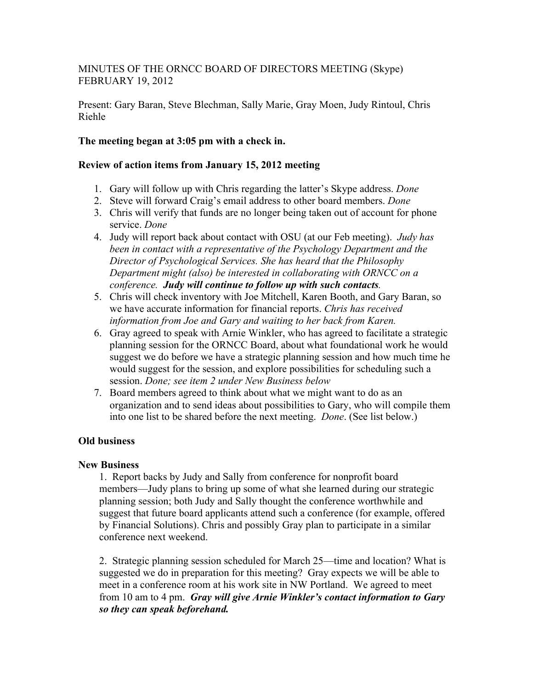# MINUTES OF THE ORNCC BOARD OF DIRECTORS MEETING (Skype) FEBRUARY 19, 2012

Present: Gary Baran, Steve Blechman, Sally Marie, Gray Moen, Judy Rintoul, Chris Riehle

## **The meeting began at 3:05 pm with a check in.**

### **Review of action items from January 15, 2012 meeting**

- 1. Gary will follow up with Chris regarding the latter's Skype address. *Done*
- 2. Steve will forward Craig's email address to other board members. *Done*
- 3. Chris will verify that funds are no longer being taken out of account for phone service. *Done*
- 4. Judy will report back about contact with OSU (at our Feb meeting). *Judy has been in contact with a representative of the Psychology Department and the Director of Psychological Services. She has heard that the Philosophy Department might (also) be interested in collaborating with ORNCC on a conference. Judy will continue to follow up with such contacts.*
- 5. Chris will check inventory with Joe Mitchell, Karen Booth, and Gary Baran, so we have accurate information for financial reports. *Chris has received information from Joe and Gary and waiting to her back from Karen.*
- 6. Gray agreed to speak with Arnie Winkler, who has agreed to facilitate a strategic planning session for the ORNCC Board, about what foundational work he would suggest we do before we have a strategic planning session and how much time he would suggest for the session, and explore possibilities for scheduling such a session. *Done; see item 2 under New Business below*
- 7. Board members agreed to think about what we might want to do as an organization and to send ideas about possibilities to Gary, who will compile them into one list to be shared before the next meeting. *Done*. (See list below.)

# **Old business**

#### **New Business**

1. Report backs by Judy and Sally from conference for nonprofit board members—Judy plans to bring up some of what she learned during our strategic planning session; both Judy and Sally thought the conference worthwhile and suggest that future board applicants attend such a conference (for example, offered by Financial Solutions). Chris and possibly Gray plan to participate in a similar conference next weekend.

2. Strategic planning session scheduled for March 25—time and location? What is suggested we do in preparation for this meeting? Gray expects we will be able to meet in a conference room at his work site in NW Portland. We agreed to meet from 10 am to 4 pm. *Gray will give Arnie Winkler's contact information to Gary so they can speak beforehand.*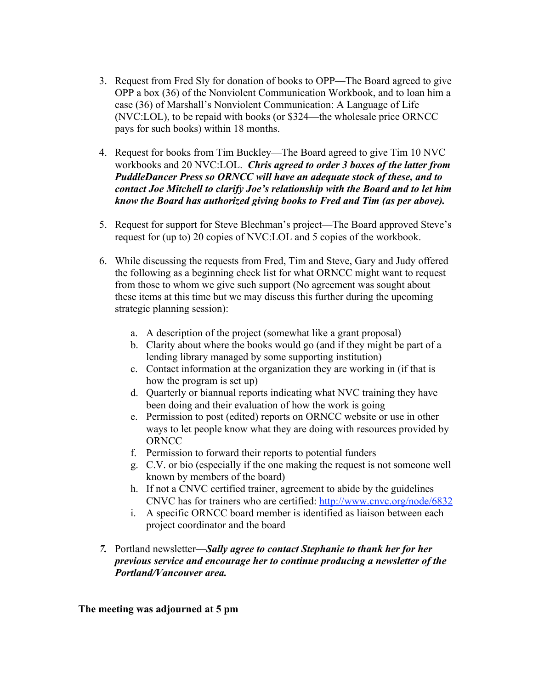- 3. Request from Fred Sly for donation of books to OPP—The Board agreed to give OPP a box (36) of the Nonviolent Communication Workbook, and to loan him a case (36) of Marshall's Nonviolent Communication: A Language of Life (NVC:LOL), to be repaid with books (or \$324—the wholesale price ORNCC pays for such books) within 18 months.
- 4. Request for books from Tim Buckley—The Board agreed to give Tim 10 NVC workbooks and 20 NVC:LOL. *Chris agreed to order 3 boxes of the latter from PuddleDancer Press so ORNCC will have an adequate stock of these, and to contact Joe Mitchell to clarify Joe's relationship with the Board and to let him know the Board has authorized giving books to Fred and Tim (as per above).*
- 5. Request for support for Steve Blechman's project—The Board approved Steve's request for (up to) 20 copies of NVC:LOL and 5 copies of the workbook.
- 6. While discussing the requests from Fred, Tim and Steve, Gary and Judy offered the following as a beginning check list for what ORNCC might want to request from those to whom we give such support (No agreement was sought about these items at this time but we may discuss this further during the upcoming strategic planning session):
	- a. A description of the project (somewhat like a grant proposal)
	- b. Clarity about where the books would go (and if they might be part of a lending library managed by some supporting institution)
	- c. Contact information at the organization they are working in (if that is how the program is set up)
	- d. Quarterly or biannual reports indicating what NVC training they have been doing and their evaluation of how the work is going
	- e. Permission to post (edited) reports on ORNCC website or use in other ways to let people know what they are doing with resources provided by **ORNCC**
	- f. Permission to forward their reports to potential funders
	- g. C.V. or bio (especially if the one making the request is not someone well known by members of the board)
	- h. If not a CNVC certified trainer, agreement to abide by the guidelines CNVC has for trainers who are certified: http://www.cnvc.org/node/6832
	- i. A specific ORNCC board member is identified as liaison between each project coordinator and the board
- *7.* Portland newsletter—*Sally agree to contact Stephanie to thank her for her previous service and encourage her to continue producing a newsletter of the Portland/Vancouver area.*

**The meeting was adjourned at 5 pm**